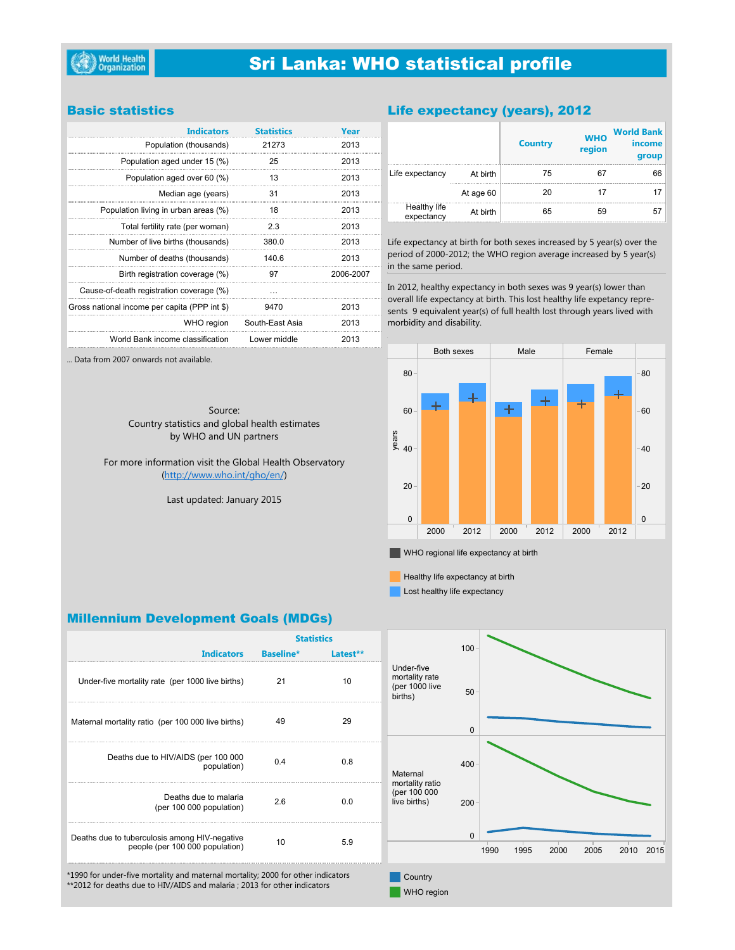## **Sri Lanka: WHO statistical profile**

### **Basic statistics**

... Data from 2007 onwards not available.

| <b>Indicators</b>                             | <b>Statistics</b> | Year      |
|-----------------------------------------------|-------------------|-----------|
| Population (thousands)                        | 21273             | 2013      |
| Population aged under 15 (%)                  | 25                | 2013      |
| Population aged over 60 (%)                   | 13                | 2013      |
| Median age (years)                            | 31                | 2013      |
| Population living in urban areas (%)          | 18                | 2013      |
| Total fertility rate (per woman)              | 2.3               | 2013      |
| Number of live births (thousands)             | 380.0             | 2013      |
| Number of deaths (thousands)                  | 140.6             | 2013      |
| Birth registration coverage (%)               | 97                | 2006-2007 |
| Cause-of-death registration coverage (%)      |                   |           |
| Gross national income per capita (PPP int \$) | 9470              | 2013      |
| WHO region                                    | South-East Asia   | 2013      |
| World Bank income classification              | Lower middle      | 2013      |

## Life expectancy (years), 2012

|                            |           | <b>Country</b> | <b>WHO</b><br>region | <b>World Bank</b><br>income<br>group |
|----------------------------|-----------|----------------|----------------------|--------------------------------------|
| Life expectancy            | At birth  | 75             | 67                   | 66                                   |
|                            | At age 60 | 20             | 17                   | 17                                   |
| Healthy life<br>expectancy | At birth  | 65             | 59                   | 57                                   |

Life expectancy at birth for both sexes increased by 5 year(s) over the period of 2000-2012; the WHO region average increased by 5 year(s) in the same period.

In 2012, healthy expectancy in both sexes was 9 year(s) lower than overall life expectancy at birth. This lost healthy life expetancy represents 9 equivalent year(s) of full health lost through years lived with morbidity and disability.

Source: Country statistics and global health estimates by WHO and UN partners

For more information visit the Global Health Observatory (http://www.who.int/gho/en/)

Last updated: January 2015



 $\blacksquare$  WHO regional life expectancy at birth

Healthy life expectancy at birth

Lost healthy life expectancy

## **Millennium Development Goals (MDGs)**

|                                                                                                                                                               | <b>Statistics</b> |          |                                                           |          |      |      |      |      |      |      |
|---------------------------------------------------------------------------------------------------------------------------------------------------------------|-------------------|----------|-----------------------------------------------------------|----------|------|------|------|------|------|------|
| <b>Indicators</b>                                                                                                                                             | <b>Baseline*</b>  | Latest** |                                                           | 100      |      |      |      |      |      |      |
| Under-five mortality rate (per 1000 live births)                                                                                                              | 21                | 10       | Under-five<br>mortality rate<br>(per 1000 live<br>births) | 50       |      |      |      |      |      |      |
| Maternal mortality ratio (per 100 000 live births)                                                                                                            | 49                | 29       |                                                           | $\Omega$ |      |      |      |      |      |      |
| Deaths due to HIV/AIDS (per 100 000<br>population)                                                                                                            | 0.4               | 0.8      | Maternal                                                  | 400      |      |      |      |      |      |      |
| Deaths due to malaria<br>(per 100 000 population)                                                                                                             | 2.6               | 0.0      | mortality ratio<br>(per 100 000<br>live births)           | $200 -$  |      |      |      |      |      |      |
| Deaths due to tuberculosis among HIV-negative<br>people (per 100 000 population)                                                                              | 10                | 5.9      |                                                           | $\Omega$ | 1990 | 1995 | 2000 | 2005 | 2010 | 2015 |
| *1990 for under-five mortality and maternal mortality; 2000 for other indicators<br>**2012 for deaths due to HIV/AIDS and malaria ; 2013 for other indicators |                   |          | Country<br>WHO region                                     |          |      |      |      |      |      |      |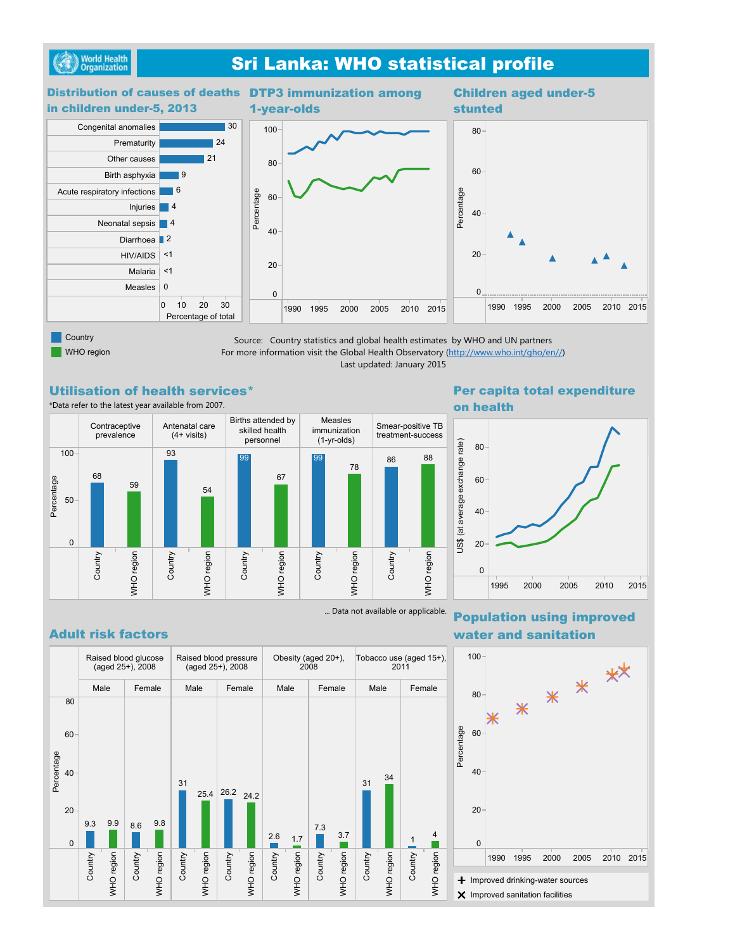

## **Sri Lanka: WHO statistical profile**



WHO region

Source: Country statistics and global health estimates by WHO and UN partners For more information visit the Global Health Observatory (http://www.who.int/gho/en//) Last updated: January 2015

### **Utilisation of health services\***

\*Data refer to the latest year available from 2007.



# on health



## **Adult risk factors**



... Data not available or applicable. **Population using improved** water and sanitation